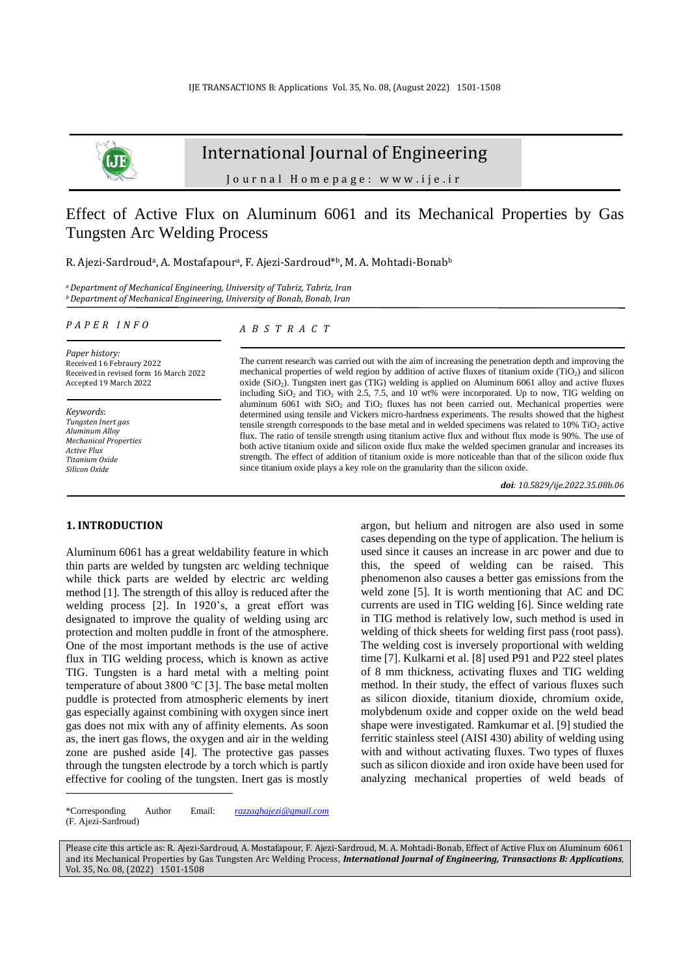

# International Journal of Engineering

J o u r n a l H o m e p a g e : w w w . i j e . i r

# Effect of Active Flux on Aluminum 6061 and its Mechanical Properties by Gas Tungsten Arc Welding Process

R. Ajezi-Sardroud<sup>a</sup>, A. Mostafapour<sup>a</sup>, F. Ajezi-Sardroud\*b, M. A. Mohtadi-Bonab<sup>b</sup>

*<sup>a</sup>Department of Mechanical Engineering, University of Tabriz, Tabriz, Iran <sup>b</sup>Department of Mechanical Engineering, University of Bonab, Bonab, Iran*

*P A P E R I N F O*

*Paper history:* Received 16 Febraury 2022 Received in revised form 16 March 2022 Accepted 19 March 2022

*Keywords*: *Tungsten Inert gas Aluminum Alloy Mechanical Properties Active Flux Titanium Oxide Silicon Oxide*

#### *A B S T R A C T*

The current research was carried out with the aim of increasing the penetration depth and improving the mechanical properties of weld region by addition of active fluxes of titanium oxide (TiO2) and silicon oxide (SiO2). Tungsten inert gas (TIG) welding is applied on Aluminum 6061 alloy and active fluxes including  $SiO_2$  and  $TiO_2$  with 2.5, 7.5, and 10 wt% were incorporated. Up to now, TIG welding on aluminum 6061 with  $SiO<sub>2</sub>$  and  $TiO<sub>2</sub>$  fluxes has not been carried out. Mechanical properties were determined using tensile and Vickers micro-hardness experiments. The results showed that the highest tensile strength corresponds to the base metal and in welded specimens was related to  $10\%$  TiO<sub>2</sub> active flux. The ratio of tensile strength using titanium active flux and without flux mode is 90%. The use of both active titanium oxide and silicon oxide flux make the welded specimen granular and increases its strength. The effect of addition of titanium oxide is more noticeable than that of the silicon oxide flux since titanium oxide plays a key role on the granularity than the silicon oxide.

*doi: 10.5829/ije.2022.35.08b.06*

## **1. INTRODUCTION<sup>1</sup>**

Aluminum 6061 has a great weldability feature in which thin parts are welded by tungsten arc welding technique while thick parts are welded by electric arc welding method [1]. The strength of this alloy is reduced after the welding process [2]. In 1920's, a great effort was designated to improve the quality of welding using arc protection and molten puddle in front of the atmosphere. One of the most important methods is the use of active flux in TIG welding process, which is known as active TIG. Tungsten is a hard metal with a melting point temperature of about 3800 ℃ [3]. The base metal molten puddle is protected from atmospheric elements by inert gas especially against combining with oxygen since inert gas does not mix with any of affinity elements. As soon as, the inert gas flows, the oxygen and air in the welding zone are pushed aside [4]. The protective gas passes through the tungsten electrode by a torch which is partly effective for cooling of the tungsten. Inert gas is mostly

used since it causes an increase in arc power and due to this, the speed of welding can be raised. This phenomenon also causes a better gas emissions from the weld zone [5]. It is worth mentioning that AC and DC currents are used in TIG welding [6]. Since welding rate in TIG method is relatively low, such method is used in welding of thick sheets for welding first pass (root pass). The welding cost is inversely proportional with welding time [7]. Kulkarni et al. [8] used P91 and P22 steel plates of 8 mm thickness, activating fluxes and TIG welding method. In their study, the effect of various fluxes such as silicon dioxide, titanium dioxide, chromium oxide, molybdenum oxide and copper oxide on the weld bead shape were investigated. Ramkumar et al. [9] studied the ferritic stainless steel (AISI 430) ability of welding using with and without activating fluxes. Two types of fluxes such as silicon dioxide and iron oxide have been used for analyzing mechanical properties of weld beads of

argon, but helium and nitrogen are also used in some cases depending on the type of application. The helium is

Please cite this article as: R. Ajezi-Sardroud, A. Mostafapour, F. Ajezi-Sardroud, M. A. Mohtadi-Bonab, Effect of Active Flux on Aluminum 6061 and its Mechanical Properties by Gas Tungsten Arc Welding Process, *International Journal of Engineering, Transactions B: Applications*, Vol. 35, No. 08, (2022) 1501-1508

<sup>\*</sup>Corresponding Author Email: *[razzaghajezi@gmail.com](mailto:razzaghajezi@gmail.com)* (F. Ajezi-Sardroud)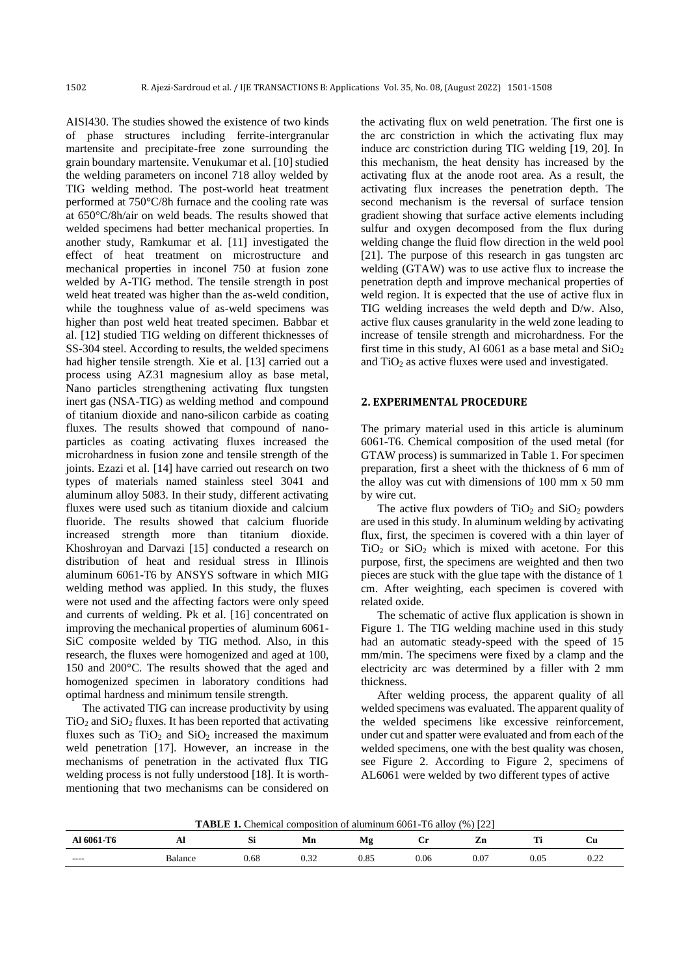AISI430. The studies showed the existence of two kinds of phase structures including ferrite-intergranular martensite and precipitate-free zone surrounding the grain boundary martensite. Venukumar et al. [10] studied the welding parameters on inconel 718 alloy welded by TIG welding method. The post-world heat treatment performed at 750°C/8h furnace and the cooling rate was at 650°C/8h/air on weld beads. The results showed that welded specimens had better mechanical properties. In another study, Ramkumar et al. [11] investigated the effect of heat treatment on microstructure and mechanical properties in inconel 750 at fusion zone welded by A-TIG method. The tensile strength in post weld heat treated was higher than the as-weld condition, while the toughness value of as-weld specimens was higher than post weld heat treated specimen. Babbar et al. [12] studied TIG welding on different thicknesses of SS-304 steel. According to results, the welded specimens had higher tensile strength. Xie et al. [13] carried out a process using AZ31 magnesium alloy as base metal, Nano particles strengthening activating flux tungsten inert gas (NSA-TIG) as welding method and compound of titanium dioxide and nano-silicon carbide as coating fluxes. The results showed that compound of nanoparticles as coating activating fluxes increased the microhardness in fusion zone and tensile strength of the joints. Ezazi et al. [14] have carried out research on two types of materials named stainless steel 3041 and aluminum alloy 5083. In their study, different activating fluxes were used such as titanium dioxide and calcium fluoride. The results showed that calcium fluoride increased strength more than titanium dioxide. Khoshroyan and Darvazi [15] conducted a research on distribution of heat and residual stress in Illinois aluminum 6061-T6 by ANSYS software in which MIG welding method was applied. In this study, the fluxes were not used and the affecting factors were only speed and currents of welding. Pk et al. [16] concentrated on improving the mechanical properties of aluminum 6061- SiC composite welded by TIG method. Also, in this research, the fluxes were homogenized and aged at 100, 150 and 200°C. The results showed that the aged and homogenized specimen in laboratory conditions had optimal hardness and minimum tensile strength.

The activated TIG can increase productivity by using  $TiO<sub>2</sub>$  and  $SiO<sub>2</sub>$  fluxes. It has been reported that activating fluxes such as  $TiO<sub>2</sub>$  and  $SiO<sub>2</sub>$  increased the maximum weld penetration [17]. However, an increase in the mechanisms of penetration in the activated flux TIG welding process is not fully understood [18]. It is worthmentioning that two mechanisms can be considered on the activating flux on weld penetration. The first one is the arc constriction in which the activating flux may induce arc constriction during TIG welding [19, 20]. In this mechanism, the heat density has increased by the activating flux at the anode root area. As a result, the activating flux increases the penetration depth. The second mechanism is the reversal of surface tension gradient showing that surface active elements including sulfur and oxygen decomposed from the flux during welding change the fluid flow direction in the weld pool [21]. The purpose of this research in gas tungsten arc welding (GTAW) was to use active flux to increase the penetration depth and improve mechanical properties of weld region. It is expected that the use of active flux in TIG welding increases the weld depth and D/w. Also, active flux causes granularity in the weld zone leading to increase of tensile strength and microhardness. For the first time in this study, Al  $6061$  as a base metal and  $SiO<sub>2</sub>$ and  $TiO<sub>2</sub>$  as active fluxes were used and investigated.

#### **2. EXPERIMENTAL PROCEDURE**

The primary material used in this article is aluminum 6061-T6. Chemical composition of the used metal (for GTAW process) is summarized in Table 1. For specimen preparation, first a sheet with the thickness of 6 mm of the alloy was cut with dimensions of 100 mm x 50 mm by wire cut.

The active flux powders of  $TiO<sub>2</sub>$  and  $SiO<sub>2</sub>$  powders are used in this study. In aluminum welding by activating flux, first, the specimen is covered with a thin layer of  $TiO<sub>2</sub>$  or  $SiO<sub>2</sub>$  which is mixed with acetone. For this purpose, first, the specimens are weighted and then two pieces are stuck with the glue tape with the distance of 1 cm. After weighting, each specimen is covered with related oxide.

The schematic of active flux application is shown in Figure 1. The TIG welding machine used in this study had an automatic steady-speed with the speed of 15 mm/min. The specimens were fixed by a clamp and the electricity arc was determined by a filler with 2 mm thickness.

After welding process, the apparent quality of all welded specimens was evaluated. The apparent quality of the welded specimens like excessive reinforcement, under cut and spatter were evaluated and from each of the welded specimens, one with the best quality was chosen, see Figure 2. According to Figure 2, specimens of AL6061 were welded by two different types of active

**TABLE 1.** Chemical composition of aluminum 6061-T6 alloy (%) [22]

| 6061-T6<br>. | $\overline{1}$ | $\sim$<br>- IO L | Mn             | мо<br>    | ٠<br>ັ | zn<br>$- -$ | rm*<br>. . | ∪u             |
|--------------|----------------|------------------|----------------|-----------|--------|-------------|------------|----------------|
| -----        | Balance        | $_{0.68}$        | $\sim$<br>∪.J∠ | $_{0.85}$ | 0.06   | 0.07        | $_{0.05}$  | $\sim$<br>∪.∠∠ |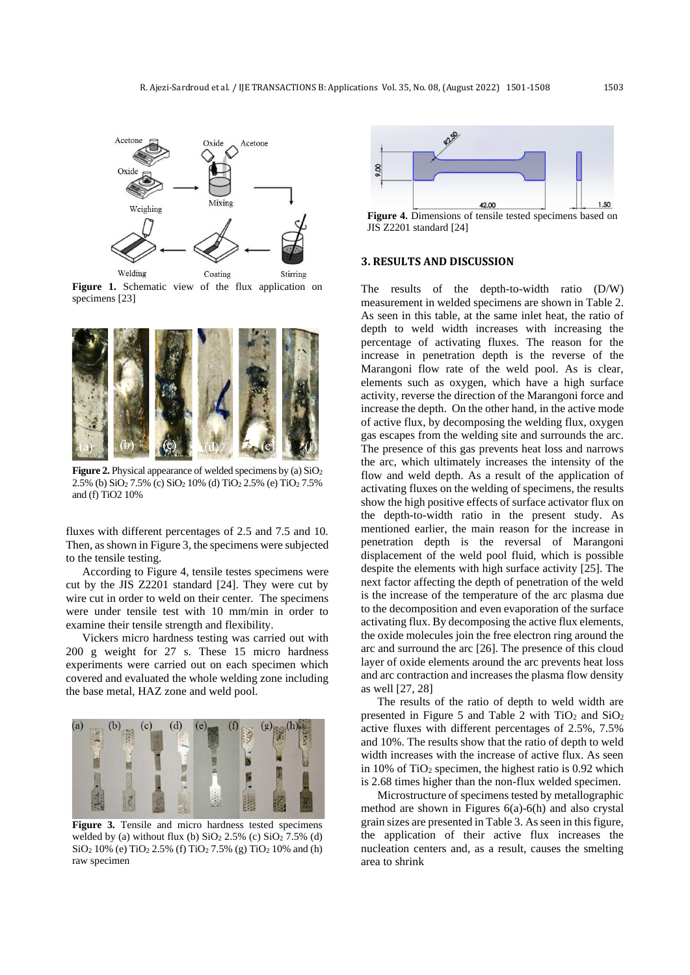

Figure 1. Schematic view of the flux application on specimens [23]



**Figure 2.** Physical appearance of welded specimens by (a) SiO<sub>2</sub> 2.5% (b) SiO<sup>2</sup> 7.5% (c) SiO<sup>2</sup> 10% (d) TiO<sup>2</sup> 2.5% (e) TiO<sup>2</sup> 7.5% and (f) TiO2 10%

fluxes with different percentages of 2.5 and 7.5 and 10. Then, as shown in Figure 3, the specimens were subjected to the tensile testing.

According to Figure 4, tensile testes specimens were cut by the JIS Z2201 standard [24]. They were cut by wire cut in order to weld on their center. The specimens were under tensile test with 10 mm/min in order to examine their tensile strength and flexibility.

Vickers micro hardness testing was carried out with 200 g weight for 27 s. These 15 micro hardness experiments were carried out on each specimen which covered and evaluated the whole welding zone including the base metal, HAZ zone and weld pool.



Figure 3. Tensile and micro hardness tested specimens welded by (a) without flux (b)  $SiO<sub>2</sub> 2.5%$  (c)  $SiO<sub>2</sub> 7.5%$  (d) SiO<sup>2</sup> 10% (e) TiO<sup>2</sup> 2.5% (f) TiO<sup>2</sup> 7.5% (g) TiO<sup>2</sup> 10% and (h) raw specimen



JIS Z2201 standard [24]

### **3. RESULTS AND DISCUSSION**

The results of the depth-to-width ratio (D/W) measurement in welded specimens are shown in Table 2. As seen in this table, at the same inlet heat, the ratio of depth to weld width increases with increasing the percentage of activating fluxes. The reason for the increase in penetration depth is the reverse of the Marangoni flow rate of the weld pool. As is clear, elements such as oxygen, which have a high surface activity, reverse the direction of the Marangoni force and increase the depth. On the other hand, in the active mode of active flux, by decomposing the welding flux, oxygen gas escapes from the welding site and surrounds the arc. The presence of this gas prevents heat loss and narrows the arc, which ultimately increases the intensity of the flow and weld depth. As a result of the application of activating fluxes on the welding of specimens, the results show the high positive effects of surface activator flux on the depth-to-width ratio in the present study. As mentioned earlier, the main reason for the increase in penetration depth is the reversal of Marangoni displacement of the weld pool fluid, which is possible despite the elements with high surface activity [25]. The next factor affecting the depth of penetration of the weld is the increase of the temperature of the arc plasma due to the decomposition and even evaporation of the surface activating flux. By decomposing the active flux elements, the oxide molecules join the free electron ring around the arc and surround the arc [26]. The presence of this cloud layer of oxide elements around the arc prevents heat loss and arc contraction and increases the plasma flow density as well [27, 28]

The results of the ratio of depth to weld width are presented in Figure 5 and Table 2 with  $TiO<sub>2</sub>$  and  $SiO<sub>2</sub>$ active fluxes with different percentages of 2.5%, 7.5% and 10%. The results show that the ratio of depth to weld width increases with the increase of active flux. As seen in 10% of  $TiO<sub>2</sub>$  specimen, the highest ratio is 0.92 which is 2.68 times higher than the non-flux welded specimen.

Microstructure of specimens tested by metallographic method are shown in Figures 6(a)-6(h) and also crystal grain sizes are presented in Table 3. As seen in this figure, the application of their active flux increases the nucleation centers and, as a result, causes the smelting area to shrink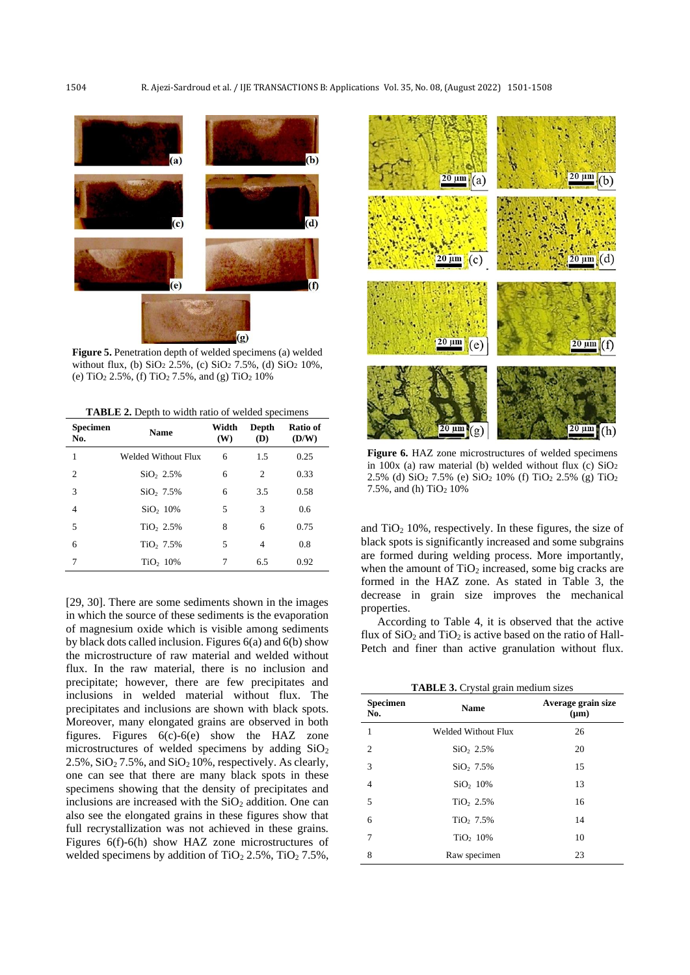

**Figure 5.** Penetration depth of welded specimens (a) welded without flux, (b)  $SiO<sub>2</sub> 2.5%$ , (c)  $SiO<sub>2</sub> 7.5%$ , (d)  $SiO<sub>2</sub> 10%$ , (e)  $TiO<sub>2</sub> 2.5%$ , (f)  $TiO<sub>2</sub> 7.5%$ , and (g)  $TiO<sub>2</sub> 10%$ 

**TABLE 2.** Depth to width ratio of welded specimens

| <b>Specimen</b><br>No. | <b>Name</b>           | Width<br>(W) | Depth<br>(D) | Ratio of<br>(D/W) |
|------------------------|-----------------------|--------------|--------------|-------------------|
| 1                      | Welded Without Flux   | 6            | 1.5          | 0.25              |
| $\overline{c}$         | SiO, 2.5%             | 6            | 2            | 0.33              |
| 3                      | SiO, 7.5%             | 6            | 3.5          | 0.58              |
| $\overline{4}$         | SiO <sub>2</sub> 10%  | 5            | 3            | 0.6               |
| 5                      | TiO <sub>2.5%</sub>   | 8            | 6            | 0.75              |
| 6                      | TiO <sub>2</sub> 7.5% | 5            | 4            | 0.8               |
| 7                      | TiO <sub>2</sub> 10%  | 7            | 6.5          | 0.92              |

[29, 30]. There are some sediments shown in the images in which the source of these sediments is the evaporation of magnesium oxide which is visible among sediments by black dots called inclusion. Figures 6(a) and 6(b) show the microstructure of raw material and welded without flux. In the raw material, there is no inclusion and precipitate; however, there are few precipitates and inclusions in welded material without flux. The precipitates and inclusions are shown with black spots. Moreover, many elongated grains are observed in both figures. Figures 6(c)-6(e) show the HAZ zone microstructures of welded specimens by adding  $SiO<sub>2</sub>$  $2.5\%$ ,  $SiO<sub>2</sub> 7.5\%$ , and  $SiO<sub>2</sub> 10\%$ , respectively. As clearly, one can see that there are many black spots in these specimens showing that the density of precipitates and inclusions are increased with the  $SiO<sub>2</sub>$  addition. One can also see the elongated grains in these figures show that full recrystallization was not achieved in these grains. Figures 6(f)-6(h) show HAZ zone microstructures of welded specimens by addition of  $TiO<sub>2</sub> 2.5%$ ,  $TiO<sub>2</sub> 7.5%$ ,



Figure 6. HAZ zone microstructures of welded specimens in 100x (a) raw material (b) welded without flux (c)  $SiO<sub>2</sub>$ 2.5% (d) SiO<sup>2</sup> 7.5% (e) SiO<sup>2</sup> 10% (f) TiO<sup>2</sup> 2.5% (g) TiO<sup>2</sup> 7.5%, and (h)  $TiO<sub>2</sub> 10%$ 

and  $TiO<sub>2</sub> 10%$ , respectively. In these figures, the size of black spots is significantly increased and some subgrains are formed during welding process. More importantly, when the amount of  $TiO<sub>2</sub>$  increased, some big cracks are formed in the HAZ zone. As stated in Table 3, the decrease in grain size improves the mechanical properties.

According to Table 4, it is observed that the active flux of  $SiO<sub>2</sub>$  and  $TiO<sub>2</sub>$  is active based on the ratio of Hall-Petch and finer than active granulation without flux.

**TABLE 3.** Crystal grain medium sizes

| <b>Specimen</b><br>No. | <b>Name</b>                | Average grain size<br>$(\mu m)$ |  |  |
|------------------------|----------------------------|---------------------------------|--|--|
| 1                      | <b>Welded Without Flux</b> | 26                              |  |  |
| 2                      | SiO <sub>2.5%</sub>        | 20                              |  |  |
| 3                      | SiO, 7.5%                  | 15                              |  |  |
| $\overline{4}$         | SiO <sub>2</sub> 10%       | 13                              |  |  |
| 5                      | TiO <sub>2.5%</sub>        | 16                              |  |  |
| 6                      | TiO <sub>2</sub> 7.5%      | 14                              |  |  |
| $\overline{7}$         | TiO <sub>2</sub> 10%       | 10                              |  |  |
| 8                      | Raw specimen               | 23                              |  |  |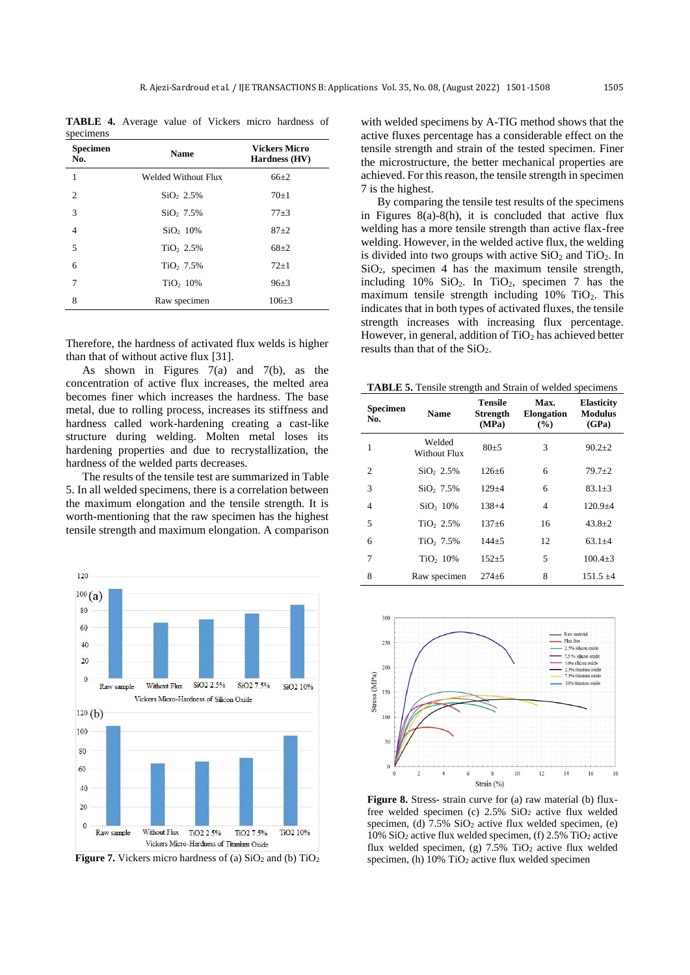**TABLE 4.** Average value of Vickers micro hardness of specimens

| <b>Specimen</b><br>No. | <b>Name</b>           | <b>Vickers Micro</b><br>Hardness (HV) |  |  |
|------------------------|-----------------------|---------------------------------------|--|--|
| 1                      | Welded Without Flux   | $66{\pm}2$                            |  |  |
| 2                      | SiO <sub>2.5%</sub>   | $70\pm1$                              |  |  |
| 3                      | SiO, 7.5%             | $77 + 3$                              |  |  |
| $\overline{4}$         | SiO <sub>2</sub> 10%  | $87+2$                                |  |  |
| 5                      | TiO <sub>2</sub> 2.5% | $68+2$                                |  |  |
| 6                      | TiO <sub>2</sub> 7.5% | $72+1$                                |  |  |
| 7                      | TiO <sub>2</sub> 10%  | $96 \pm 3$                            |  |  |
| 8                      | Raw specimen          | $106 + 3$                             |  |  |

Therefore, the hardness of activated flux welds is higher than that of without active flux [31].

As shown in Figures 7(a) and 7(b), as the concentration of active flux increases, the melted area becomes finer which increases the hardness. The base metal, due to rolling process, increases its stiffness and hardness called work-hardening creating a cast-like structure during welding. Molten metal loses its hardening properties and due to recrystallization, the hardness of the welded parts decreases.

The results of the tensile test are summarized in Table 5. In all welded specimens, there is a correlation between the maximum elongation and the tensile strength. It is worth-mentioning that the raw specimen has the highest tensile strength and maximum elongation. A comparison



**Figure 7.** Vickers micro hardness of (a)  $SiO<sub>2</sub>$  and (b)  $TiO<sub>2</sub>$ 

with welded specimens by A-TIG method shows that the active fluxes percentage has a considerable effect on the tensile strength and strain of the tested specimen. Finer the microstructure, the better mechanical properties are achieved. For this reason, the tensile strength in specimen 7 is the highest.

By comparing the tensile test results of the specimens in Figures 8(a)-8(h), it is concluded that active flux welding has a more tensile strength than active flax-free welding. However, in the welded active flux, the welding is divided into two groups with active  $SiO<sub>2</sub>$  and  $TiO<sub>2</sub>$ . In  $SiO<sub>2</sub>$ , specimen 4 has the maximum tensile strength, including  $10\%$  SiO<sub>2</sub>. In TiO<sub>2</sub>, specimen 7 has the maximum tensile strength including  $10\%$  TiO<sub>2</sub>. This indicates that in both types of activated fluxes, the tensile strength increases with increasing flux percentage. However, in general, addition of  $TiO<sub>2</sub>$  has achieved better results than that of the SiO<sub>2</sub>.

**TABLE 5.** Tensile strength and Strain of welded specimens

| <b>Specimen</b><br>No. | Name                   | Tensile<br><b>Strength</b><br>(MPa) | Max.<br><b>Elongation</b><br>$\frac{9}{6}$ | <b>Elasticity</b><br><b>Modulus</b><br>(GPa) |  |
|------------------------|------------------------|-------------------------------------|--------------------------------------------|----------------------------------------------|--|
| 1                      | Welded<br>Without Flux | $80 + 5$                            | 3                                          | $90.2 + 2$                                   |  |
| $\mathfrak{D}$         | $SiO_2 2.5%$           | $126 + 6$                           | 6                                          | $79.7 + 2$                                   |  |
| 3                      | SiO, 7.5%              | $129 + 4$                           | 6                                          | $83.1 + 3$                                   |  |
| $\overline{4}$         | SiO <sub>2</sub> 10%   | $138 + 4$                           | $\overline{4}$                             | $120.9 + 4$                                  |  |
| 5                      | TiO <sub>2.5%</sub>    | $137 + 6$                           | 16                                         | $43.8 + 2$                                   |  |
| 6                      | TiO <sub>2</sub> 7.5%  | $144 + 5$                           | 12                                         | $63.1 + 4$                                   |  |
| 7                      | TiO <sub>2</sub> 10%   | $152 + 5$                           | 5                                          | $100.4 + 3$                                  |  |
| 8                      | Raw specimen           | $274 + 6$                           | 8                                          | $151.5 + 4$                                  |  |



**Figure 8.** Stress- strain curve for (a) raw material (b) fluxfree welded specimen (c) 2.5% SiO<sup>2</sup> active flux welded specimen, (d)  $7.5\%$  SiO<sub>2</sub> active flux welded specimen, (e)  $10\%$  SiO<sub>2</sub> active flux welded specimen, (f)  $2.5\%$  TiO<sub>2</sub> active flux welded specimen, (g)  $7.5\%$  TiO<sub>2</sub> active flux welded specimen, (h)  $10\%$  TiO<sub>2</sub> active flux welded specimen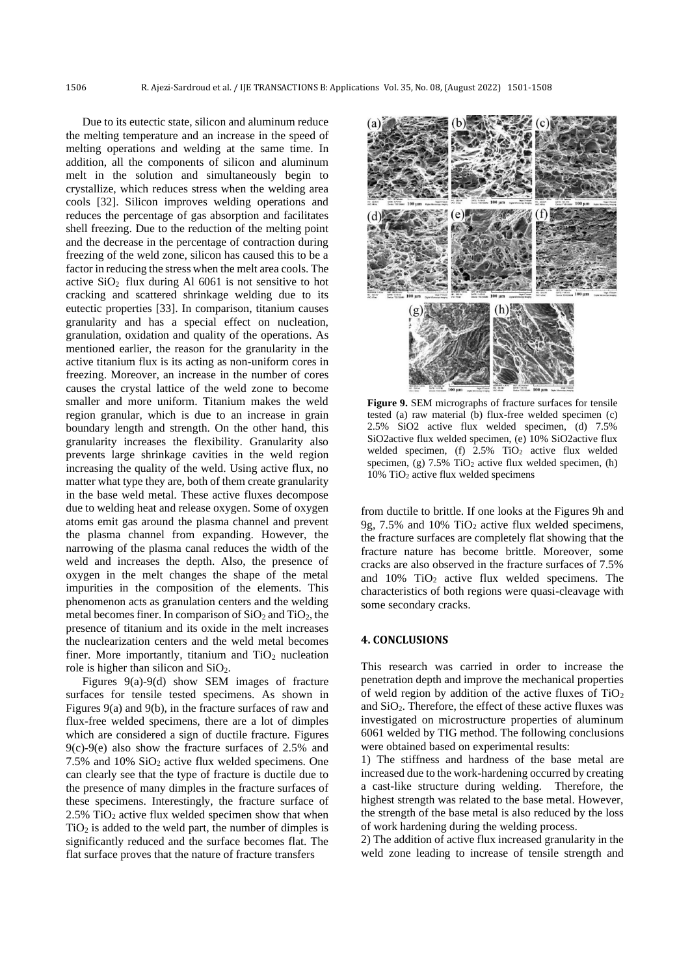Due to its eutectic state, silicon and aluminum reduce the melting temperature and an increase in the speed of melting operations and welding at the same time. In addition, all the components of silicon and aluminum melt in the solution and simultaneously begin to crystallize, which reduces stress when the welding area cools [32]. Silicon improves welding operations and reduces the percentage of gas absorption and facilitates shell freezing. Due to the reduction of the melting point and the decrease in the percentage of contraction during freezing of the weld zone, silicon has caused this to be a factor in reducing the stress when the melt area cools. The active  $SiO<sub>2</sub>$  flux during Al 6061 is not sensitive to hot cracking and scattered shrinkage welding due to its eutectic properties [33]. In comparison, titanium causes granularity and has a special effect on nucleation, granulation, oxidation and quality of the operations. As mentioned earlier, the reason for the granularity in the active titanium flux is its acting as non-uniform cores in freezing. Moreover, an increase in the number of cores causes the crystal lattice of the weld zone to become smaller and more uniform. Titanium makes the weld region granular, which is due to an increase in grain boundary length and strength. On the other hand, this granularity increases the flexibility. Granularity also prevents large shrinkage cavities in the weld region increasing the quality of the weld. Using active flux, no matter what type they are, both of them create granularity in the base weld metal. These active fluxes decompose due to welding heat and release oxygen. Some of oxygen atoms emit gas around the plasma channel and prevent the plasma channel from expanding. However, the narrowing of the plasma canal reduces the width of the weld and increases the depth. Also, the presence of oxygen in the melt changes the shape of the metal impurities in the composition of the elements. This phenomenon acts as granulation centers and the welding metal becomes finer. In comparison of  $SiO<sub>2</sub>$  and  $TiO<sub>2</sub>$ , the presence of titanium and its oxide in the melt increases the nuclearization centers and the weld metal becomes finer. More importantly, titanium and  $TiO<sub>2</sub>$  nucleation role is higher than silicon and  $SiO<sub>2</sub>$ .

Figures 9(a)-9(d) show SEM images of fracture surfaces for tensile tested specimens. As shown in Figures 9(a) and 9(b), in the fracture surfaces of raw and flux-free welded specimens, there are a lot of dimples which are considered a sign of ductile fracture. Figures 9(c)-9(e) also show the fracture surfaces of 2.5% and 7.5% and 10% SiO<sup>2</sup> active flux welded specimens. One can clearly see that the type of fracture is ductile due to the presence of many dimples in the fracture surfaces of these specimens. Interestingly, the fracture surface of  $2.5\%$  TiO<sub>2</sub> active flux welded specimen show that when  $TiO<sub>2</sub>$  is added to the weld part, the number of dimples is significantly reduced and the surface becomes flat. The flat surface proves that the nature of fracture transfers



**Figure 9.** SEM micrographs of fracture surfaces for tensile tested (a) raw material (b) flux-free welded specimen (c) 2.5% SiO2 active flux welded specimen, (d) 7.5% SiO2active flux welded specimen, (e) 10% SiO2active flux welded specimen, (f)  $2.5\%$  TiO<sub>2</sub> active flux welded specimen, (g)  $7.5\%$  TiO<sub>2</sub> active flux welded specimen, (h) 10% TiO<sup>2</sup> active flux welded specimens

from ductile to brittle. If one looks at the Figures 9h and 9g, 7.5% and 10%  $TiO<sub>2</sub>$  active flux welded specimens, the fracture surfaces are completely flat showing that the fracture nature has become brittle. Moreover, some cracks are also observed in the fracture surfaces of 7.5% and  $10\%$  TiO<sub>2</sub> active flux welded specimens. The characteristics of both regions were quasi-cleavage with some secondary cracks.

#### **4. CONCLUSIONS**

This research was carried in order to increase the penetration depth and improve the mechanical properties of weld region by addition of the active fluxes of  $TiO<sub>2</sub>$ and  $SiO<sub>2</sub>$ . Therefore, the effect of these active fluxes was investigated on microstructure properties of aluminum 6061 welded by TIG method. The following conclusions were obtained based on experimental results:

1) The stiffness and hardness of the base metal are increased due to the work-hardening occurred by creating a cast-like structure during welding. Therefore, the highest strength was related to the base metal. However, the strength of the base metal is also reduced by the loss of work hardening during the welding process.

2) The addition of active flux increased granularity in the weld zone leading to increase of tensile strength and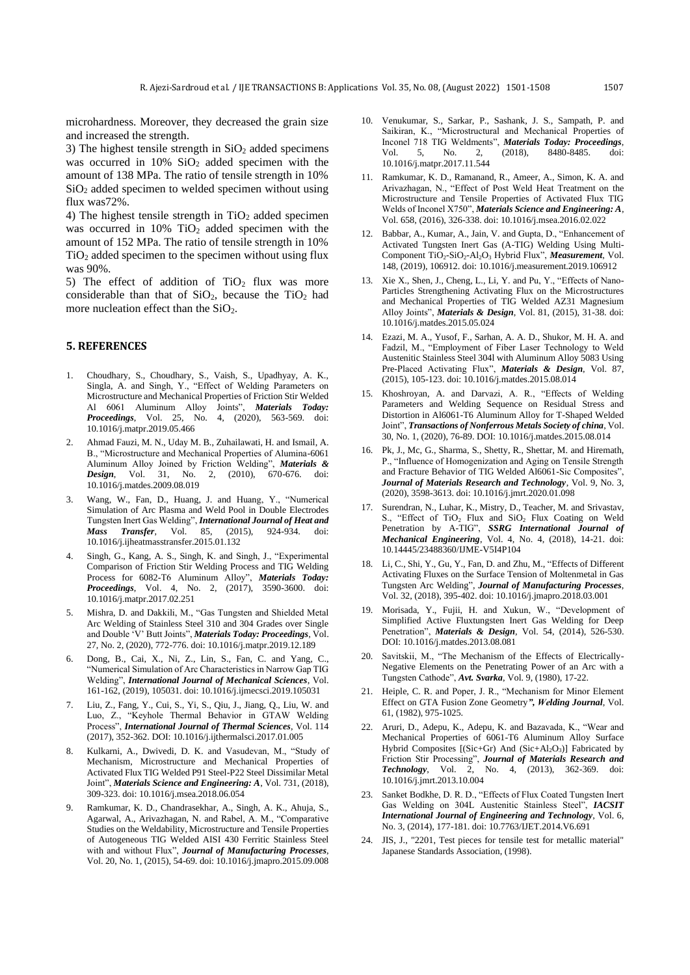microhardness. Moreover, they decreased the grain size and increased the strength.

3) The highest tensile strength in  $SiO<sub>2</sub>$  added specimens was occurred in  $10\%$  SiO<sub>2</sub> added specimen with the amount of 138 MPa. The ratio of tensile strength in 10%  $SiO<sub>2</sub>$  added specimen to welded specimen without using flux was72%.

4) The highest tensile strength in  $TiO<sub>2</sub>$  added specimen was occurred in  $10\%$  TiO<sub>2</sub> added specimen with the amount of 152 MPa. The ratio of tensile strength in 10%  $TiO<sub>2</sub>$  added specimen to the specimen without using flux was 90%.

5) The effect of addition of  $TiO<sub>2</sub>$  flux was more considerable than that of  $SiO<sub>2</sub>$ , because the  $TiO<sub>2</sub>$  had more nucleation effect than the  $SiO<sub>2</sub>$ .

### **5. REFERENCES**

- 1. Choudhary, S., Choudhary, S., Vaish, S., Upadhyay, A. K., Singla, A. and Singh, Y., "Effect of Welding Parameters on Microstructure and Mechanical Properties of Friction Stir Welded Al 6061 Aluminum Alloy Joints", *Materials Today: Proceedings*, Vol. 25, No. 4, (2020), 563-569. doi: 10.1016/j.matpr.2019.05.466
- 2. Ahmad Fauzi, M. N., Uday M. B., Zuhailawati, H. and Ismail, A. B., "Microstructure and Mechanical Properties of Alumina-6061 Aluminum Alloy Joined by Friction Welding", *Materials &*  2, (2010), 670-676. doi: 10.1016/j.matdes.2009.08.019
- 3. Wang, W., Fan, D., Huang, J. and Huang, Y., "Numerical Simulation of Arc Plasma and Weld Pool in Double Electrodes Tungsten Inert Gas Welding", *International Journal of Heat and Mass Transfer*, Vol. 85, (2015), 924-934. doi: 10.1016/j.ijheatmasstransfer.2015.01.132
- Singh, G., Kang, A. S., Singh, K. and Singh, J., "Experimental Comparison of Friction Stir Welding Process and TIG Welding Process for 6082-T6 Aluminum Alloy", *Materials Today: Proceedings*, Vol. 4, No. 2, (2017), 3590-3600. doi: 10.1016/j.matpr.2017.02.251
- 5. Mishra, D. and Dakkili, M., "Gas Tungsten and Shielded Metal Arc Welding of Stainless Steel 310 and 304 Grades over Single and Double 'V' Butt Joints", *Materials Today: Proceedings*, Vol. 27, No. 2, (2020), 772-776. doi: 10.1016/j.matpr.2019.12.189
- Dong, B., Cai, X., Ni, Z., Lin, S., Fan, C. and Yang, C., "Numerical Simulation of Arc Characteristics in Narrow Gap TIG Welding", *International Journal of Mechanical Sciences*, Vol. 161-162, (2019), 105031. doi: 10.1016/j.ijmecsci.2019.105031
- 7. Liu, Z., Fang, Y., Cui, S., Yi, S., Qiu, J., Jiang, Q., Liu, W. and Luo, Z., "Keyhole Thermal Behavior in GTAW Welding Process", *International Journal of Thermal Sciences*, Vol. 114 (2017), 352-362. DOI: 10.1016/j.ijthermalsci.2017.01.005
- 8. Kulkarni, A., Dwivedi, D. K. and Vasudevan, M., "Study of Mechanism, Microstructure and Mechanical Properties of Activated Flux TIG Welded P91 Steel-P22 Steel Dissimilar Metal Joint", *Materials Science and Engineering: A*, Vol. 731, (2018), 309-323. doi: 10.1016/j.msea.2018.06.054
- 9. Ramkumar, K. D., Chandrasekhar, A., Singh, A. K., Ahuja, S., Agarwal, A., Arivazhagan, N. and Rabel, A. M., "Comparative Studies on the Weldability, Microstructure and Tensile Properties of Autogeneous TIG Welded AISI 430 Ferritic Stainless Steel with and without Flux", *Journal of Manufacturing Processes*, Vol. 20, No. 1, (2015), 54-69. doi: 10.1016/j.jmapro.2015.09.008
- 10. Venukumar, S., Sarkar, P., Sashank, J. S., Sampath, P. and Saikiran, K., "Microstructural and Mechanical Properties of Inconel 718 TIG Weldments", *Materials Today: Proceedings*, Vol. 5, No. 2, (2018), 8480-8485. doi: 10.1016/j.matpr.2017.11.544
- 11. Ramkumar, K. D., Ramanand, R., Ameer, A., Simon, K. A. and Arivazhagan, N., "Effect of Post Weld Heat Treatment on the Microstructure and Tensile Properties of Activated Flux TIG Welds of Inconel X750", *Materials Science and Engineering: A*, Vol. 658, (2016), 326-338. doi: 10.1016/j.msea.2016.02.022
- 12. Babbar, A., Kumar, A., Jain, V. and Gupta, D., "Enhancement of Activated Tungsten Inert Gas (A-TIG) Welding Using Multi-Component TiO<sub>2</sub>-SiO<sub>2</sub>-Al<sub>2</sub>O<sub>3</sub> Hybrid Flux", *Measurement*, Vol. 148, (2019), 106912. doi: 10.1016/j.measurement.2019.106912
- 13. Xie X., Shen, J., Cheng, L., Li, Y. and Pu, Y., "Effects of Nano-Particles Strengthening Activating Flux on the Microstructures and Mechanical Properties of TIG Welded AZ31 Magnesium Alloy Joints", *Materials & Design*, Vol. 81, (2015), 31-38. doi: 10.1016/j.matdes.2015.05.024
- 14. Ezazi, M. A., Yusof, F., Sarhan, A. A. D., Shukor, M. H. A. and Fadzil, M., "Employment of Fiber Laser Technology to Weld Austenitic Stainless Steel 304l with Aluminum Alloy 5083 Using Pre-Placed Activating Flux", *Materials & Design*, Vol. 87, (2015), 105-123. doi: 10.1016/j.matdes.2015.08.014
- 15. Khoshroyan, A. and Darvazi, A. R., "Effects of Welding Parameters and Welding Sequence on Residual Stress and Distortion in Al6061-T6 Aluminum Alloy for T-Shaped Welded Joint", *Transactions of Nonferrous Metals Society of china*, Vol. 30, No. 1, (2020), 76-89. DOI: 10.1016/j.matdes.2015.08.014
- 16. Pk, J., Mc, G., Sharma, S., Shetty, R., Shettar, M. and Hiremath, P., "Influence of Homogenization and Aging on Tensile Strength and Fracture Behavior of TIG Welded Al6061-Sic Composites", *Journal of Materials Research and Technology*, Vol. 9, No. 3, (2020), 3598-3613. doi: 10.1016/j.jmrt.2020.01.098
- 17. Surendran, N., Luhar, K., Mistry, D., Teacher, M. and Srivastav, S., "Effect of TiO<sub>2</sub> Flux and SiO<sub>2</sub> Flux Coating on Weld Penetration by A-TIG", *SSRG International Journal of Mechanical Engineering*, Vol. 4, No. 4, (2018), 14-21. doi: 10.14445/23488360/IJME-V5I4P104
- 18. Li, C., Shi, Y., Gu, Y., Fan, D. and Zhu, M., "Effects of Different Activating Fluxes on the Surface Tension of Moltenmetal in Gas Tungsten Arc Welding", *Journal of Manufacturing Processes*, Vol. 32, (2018), 395-402. doi: 10.1016/j.jmapro.2018.03.001
- 19. Morisada, Y., Fujii, H. and Xukun, W., "Development of Simplified Active Fluxtungsten Inert Gas Welding for Deep Penetration", *Materials & Design*, Vol. 54, (2014), 526-530. DOI: 10.1016/j.matdes.2013.08.081
- 20. Savitskii, M., "The Mechanism of the Effects of Electrically-Negative Elements on the Penetrating Power of an Arc with a Tungsten Cathode", *Avt. Svarka*, Vol. 9, (1980), 17-22.
- 21. Heiple, C. R. and Poper, J. R., "Mechanism for Minor Element Effect on GTA Fusion Zone Geometry*", Welding Journal*, Vol. 61, (1982), 975-1025.
- 22. Aruri, D., Adepu, K., Adepu, K. and Bazavada, K., "Wear and Mechanical Properties of 6061-T6 Aluminum Alloy Surface Hybrid Composites [(Sic+Gr) And (Sic+Al<sub>2</sub>O<sub>3</sub>)] Fabricated by Friction Stir Processing", *Journal of Materials Research and Technology*, Vol. 2, No. 4, (2013), 362-369. doi: 10.1016/j.jmrt.2013.10.004
- 23. Sanket Bodkhe, D. R. D., "Effects of Flux Coated Tungsten Inert Gas Welding on 304L Austenitic Stainless Steel", *IACSIT International Journal of Engineering and Technology*, Vol. 6, No. 3, (2014), 177-181. doi: 10.7763/IJET.2014.V6.691
- 24. JIS, J., "2201, Test pieces for tensile test for metallic material" Japanese Standards Association, (1998).